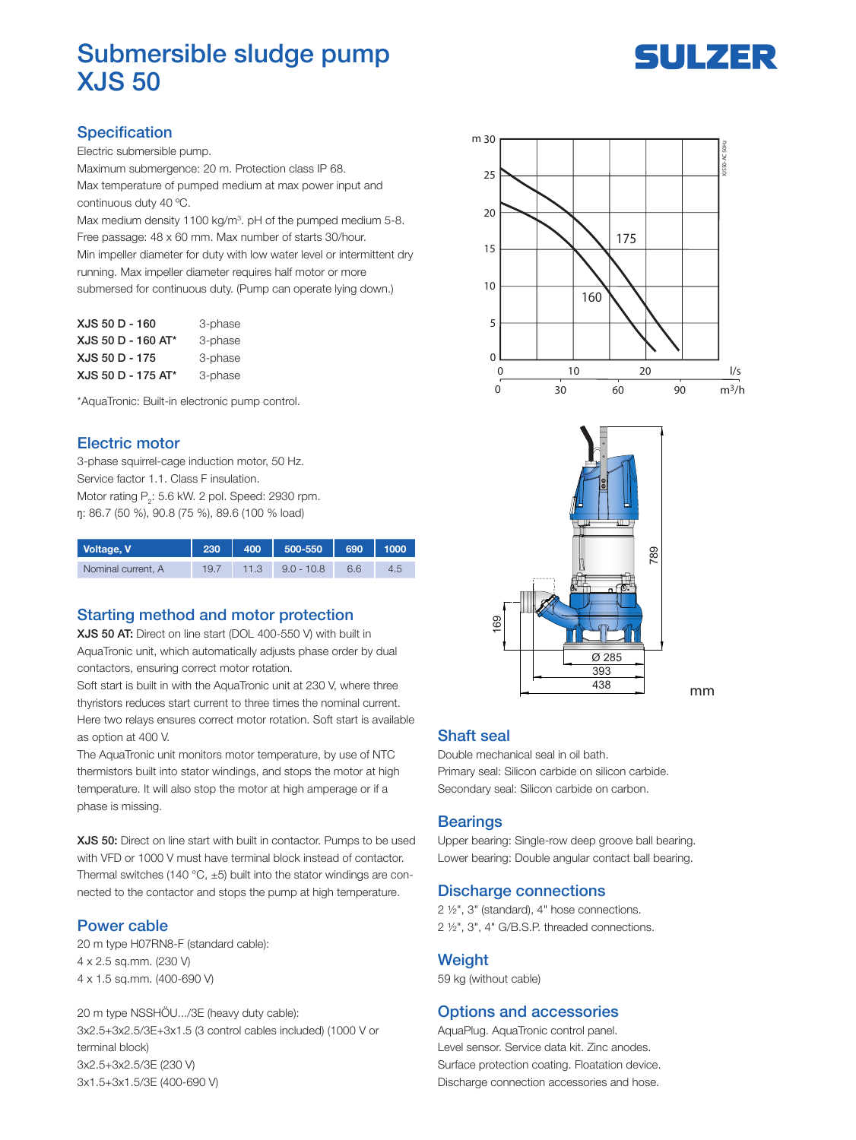

# Submersible sludge pump XJS 50

# **Specification**

Electric submersible pump.

Maximum submergence: 20 m. Protection class IP 68. Max temperature of pumped medium at max power input and continuous duty 40 ºC.

Max medium density 1100 kg/m<sup>3</sup>. pH of the pumped medium 5-8. Free passage: 48 x 60 mm. Max number of starts 30/hour. Min impeller diameter for duty with low water level or intermittent dry running. Max impeller diameter requires half motor or more submersed for continuous duty. (Pump can operate lying down.)

| XJS 50 D - 160     | 3-phase |
|--------------------|---------|
| XJS 50 D - 160 AT* | 3-phase |
| XJS 50 D - 175     | 3-phase |
| XJS 50 D - 175 AT* | 3-phase |

\*AquaTronic: Built-in electronic pump control.

### Electric motor

3-phase squirrel-cage induction motor, 50 Hz. Service factor 1.1. Class F insulation. Motor rating  $P_2$ : 5.6 kW. 2 pol. Speed: 2930 rpm. ŋ: 86.7 (50 %), 90.8 (75 %), 89.6 (100 % load)

| Voltage, V         | 230  | 400  | 500-550    | 690 | 1000 |
|--------------------|------|------|------------|-----|------|
| Nominal current. A | 19.7 | 11.3 | $90 - 108$ | 6.6 |      |

## Starting method and motor protection

XJS 50 AT: Direct on line start (DOL 400-550 V) with built in AquaTronic unit, which automatically adjusts phase order by dual contactors, ensuring correct motor rotation.

Soft start is built in with the AquaTronic unit at 230 V, where three thyristors reduces start current to three times the nominal current. Here two relays ensures correct motor rotation. Soft start is available as option at 400 V.

The AquaTronic unit monitors motor temperature, by use of NTC thermistors built into stator windings, and stops the motor at high temperature. It will also stop the motor at high amperage or if a phase is missing.

XJS 50: Direct on line start with built in contactor. Pumps to be used with VFD or 1000 V must have terminal block instead of contactor. Thermal switches (140 °C,  $\pm$ 5) built into the stator windings are connected to the contactor and stops the pump at high temperature.

#### Power cable

20 m type H07RN8-F (standard cable): 4 x 2.5 sq.mm. (230 V) 4 x 1.5 sq.mm. (400-690 V)

20 m type NSSHÖU.../3E (heavy duty cable): 3x2.5+3x2.5/3E+3x1.5 (3 control cables included) (1000 V or terminal block) 3x2.5+3x2.5/3E (230 V) 3x1.5+3x1.5/3E (400-690 V)





mm

## Shaft seal

Double mechanical seal in oil bath. Primary seal: Silicon carbide on silicon carbide. Secondary seal: Silicon carbide on carbon.

#### **Bearings**

Upper bearing: Single-row deep groove ball bearing. Lower bearing: Double angular contact ball bearing.

#### Discharge connections

2 ½", 3" (standard), 4" hose connections. 2 ½", 3", 4" G/B.S.P. threaded connections.

#### **Weight**

59 kg (without cable)

#### Options and accessories

AquaPlug. AquaTronic control panel. Level sensor. Service data kit. Zinc anodes. Surface protection coating. Floatation device. Discharge connection accessories and hose.